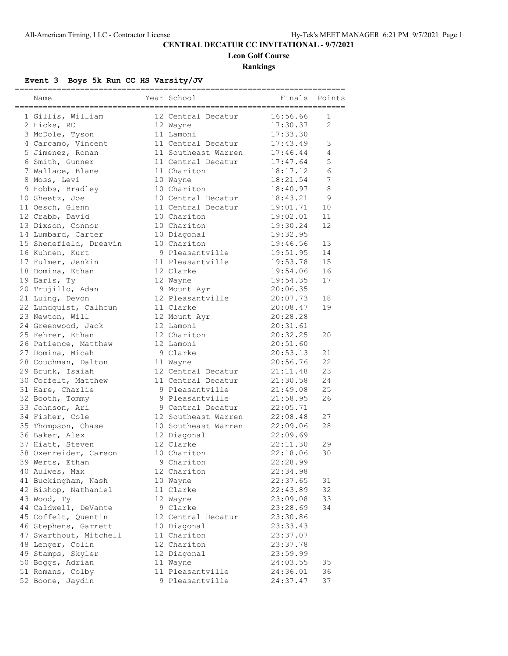# **CENTRAL DECATUR CC INVITATIONAL - 9/7/2021**

**Leon Golf Course**

**Rankings**

# **Event 3 Boys 5k Run CC HS Varsity/JV**

| Name                                | Year School           | Finals               | Points         |
|-------------------------------------|-----------------------|----------------------|----------------|
| 1 Gillis, William                   | 12 Central Decatur    | 16:56.66             | 1              |
| 2 Hicks, RC                         | 12 Wayne              | 17:30.37             | $\mathfrak{D}$ |
| 3 McDole, Tyson                     | 11 Lamoni             | 17:33.30             |                |
| 4 Carcamo, Vincent                  | 11 Central Decatur    | 17:43.49             | 3              |
| 5 Jimenez, Ronan                    | 11 Southeast Warren   | 17:46.44             | 4              |
| 6 Smith, Gunner                     | 11 Central Decatur    | 17:47.64             | 5              |
| 7 Wallace, Blane                    | 11 Chariton           | 18:17.12             | 6              |
| 8 Moss, Levi                        | 10 Wayne              | 18:21.54             | 7              |
| 9 Hobbs, Bradley                    | 10 Chariton           | 18:40.97             | 8              |
| 10 Sheetz, Joe                      | 10 Central Decatur    | 18:43.21             | 9              |
| 11 Oesch, Glenn                     | 11 Central Decatur    | 19:01.71             | 10             |
| 12 Crabb, David                     | 10 Chariton           | 19:02.01             | 11             |
| 13 Dixson, Connor                   | 10 Chariton           | 19:30.24             | 12             |
| 14 Lumbard, Carter                  | 10 Diagonal           | 19:32.95             |                |
| 15 Shenefield, Dreavin              | 10 Chariton           | 19:46.56             | 13             |
| 16 Kuhnen, Kurt                     | 9 Pleasantville       | 19:51.95             | 14             |
| 17 Fulmer, Jenkin                   | 11 Pleasantville      | 19:53.78             | 15             |
| 18 Domina, Ethan                    | 12 Clarke             | 19:54.06             | 16             |
| 19 Earls, Ty                        | 12 Wayne              | 19:54.35             | 17             |
| 20 Trujillo, Adan                   | 9 Mount Ayr           | 20:06.35             |                |
| 21 Luing, Devon                     | 12 Pleasantville      | 20:07.73             | 18             |
| 22 Lundquist, Calhoun               | 11 Clarke             | 20:08.47             | 19             |
| 23 Newton, Will                     | 12 Mount Ayr          | 20:28.28             |                |
| 24 Greenwood, Jack                  | 12 Lamoni             | 20:31.61             |                |
| 25 Fehrer, Ethan                    | 12 Chariton           | 20:32.25             | 20             |
| 26 Patience, Matthew                | 12 Lamoni             | 20:51.60             |                |
| 27 Domina, Micah                    | 9 Clarke              | 20:53.13             | 21             |
| 28 Couchman, Dalton                 | 11 Wayne              | 20:56.76             | 22             |
| 29 Brunk, Isaiah                    | 12 Central Decatur    | 21:11.48             | 23             |
| 30 Coffelt, Matthew                 | 11 Central Decatur    | 21:30.58             | 24             |
| 31 Hare, Charlie                    | 9 Pleasantville       | 21:49.08             | 25             |
| 32 Booth, Tommy                     | 9 Pleasantville       | 21:58.95             | 26             |
| 33 Johnson, Ari                     | 9 Central Decatur     | 22:05.71             |                |
| 34 Fisher, Cole                     | 12 Southeast Warren   | 22:08.48             | 27             |
| 35 Thompson, Chase                  | 10 Southeast Warren   | 22:09.06             | 28             |
| 36 Baker, Alex                      | 12 Diagonal           | 22:09.69             |                |
| 37 Hiatt, Steven                    | 12 Clarke             | 22:11.30             | 29             |
| 38 Oxenreider, Carson               | 10 Chariton           | 22:18.06             | 30             |
| 39 Werts, Ethan                     | 9 Chariton            | 22:28.99             |                |
| 40 Aulwes, Max                      | 12 Chariton           | 22:34.98<br>22:37.65 |                |
| 41 Buckingham, Nash                 | 10 Wayne<br>11 Clarke | 22:43.89             | 31<br>32       |
| 42 Bishop, Nathaniel                | 12 Wayne              |                      | 33             |
| 43 Wood, Ty<br>44 Caldwell, DeVante | 9 Clarke              | 23:09.08<br>23:28.69 | 34             |
| 45 Coffelt, Quentin                 | 12 Central Decatur    | 23:30.86             |                |
| 46 Stephens, Garrett                | 10 Diagonal           | 23:33.43             |                |
| 47 Swarthout, Mitchell              | 11 Chariton           | 23:37.07             |                |
| 48 Lenger, Colin                    | 12 Chariton           | 23:37.78             |                |
| 49 Stamps, Skyler                   | 12 Diagonal           | 23:59.99             |                |
| 50 Boggs, Adrian                    | 11 Wayne              | 24:03.55             | 35             |
| 51 Romans, Colby                    | 11 Pleasantville      | 24:36.01             | 36             |
| 52 Boone, Jaydin                    | 9 Pleasantville       | 24:37.47             | 37             |
|                                     |                       |                      |                |